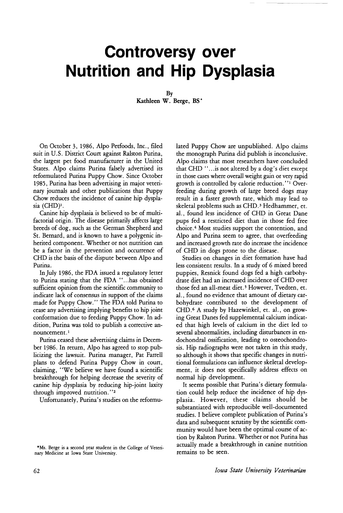## **Controversy over Nutrition and Hip Dysplasia**

By Kathleen W. Berge, BS \*

On October 3, 1986, Alpo Petfoods, Inc., filed suit in U.S. District Court against Ralston Purina, the largest pet food manufacturer in the United States. Alpo claims Purina falsely advertised its reformulated Purina Puppy Chow. Since October 1985, Purina has been advenising in major veterinary journals and other publications that Puppy Chow reduces the incidence of canine hip dysplasia (CHD)<sup>1</sup>.

Canine hip dysplasia is believed to be of multifactorial origin. The disease primarily affects large breeds of dog, such as the German Shepherd and St. Bernard, and is known to have a polygenic inherited component. Whether or not nutrition can be a factor in the prevention and occurrence of CHD is the basis of the dispute between Alpo and Purina.

In July 1986, the FDA issued a regulatory letter to Purina stating that the FDA "...has obtained sufficient opinion from the scientific community to indicate lack of consensus in support of the claims made for Puppy Chow." The FDA told Purina to cease any advertising implying benefits to hip joint conformation due to feeding Puppy Chow. In addition, Purina was told to publish a corrective announcement. <sup>1</sup>

Purina ceased these advertising claims in December 1986. In return, Alpo has agreed to stop publicizing the lawsuit. Purina manager, Pat Farrell plans to defend Purina Puppy Chow in court, claiming, "We believe we have found a scientific breakthrough for helping decrease the severity of canine hip dysplasia by reducing hip-joint laxity through improved nutrition."2

Unfortunately, Purina's studies on the reformu-

lated Puppy Chow are unpublished. Alpo claims the monograph Purina did publish is inconclusive. Alpo claims that most researchers have concluded that CHD "...is not altered by a dog's diet except in those cases where overall weight gain or very rapid growth is controlled by calorie reduction. "I Overfeeding during growth of large breed dogs may result in a faster growth rate, which may lead to skeletal problems such as CHD.<sup>3</sup> Hedhammer, et. al., found less incidence of CHD in Great Dane pups fed a restricted diet than in those fed free choice.<sup>4</sup> Most studies support the contention, and Alpo and Purina seem to agree, that overfeeding and increased growth rate do increase the incidence of CHD in dogs prone to the disease.

Studies on changes in diet formation have had less consistent results. In a study of 6 mixed breed puppies, Resnick found dogs fed a high carbohydrate diet had an increased incidence ofCHD over those fed an all-meat diet.<sup>5</sup> However, Tvedten, et. al., found no evidence that amount of dietary carbohydrate contributed to the development of CHD.6 A study by Hazewinkel, et. aI., on growing Great Danes fed supplemental calcium indicated that high levels of calcium in the diet led to several abnormalities, including disturbances in endochondral ossification, leading to osteochondrosis. Hip radiographs were not taken in this study, so although it shows that specific changes in nutritional formulations can influence skeletal development, it does not specifically address effects on normal hip development.

It seems possible that Purina's dietary formulation could help reduce the incidence of hip dysplasia. However, these claims should be substantiated with reproducible well-documented studies. I believe complete publication of Purina's data and subsequent scrutiny by the scientific community would have been the optimal course of action by Ralston Purina. Whether or not Purina has actually made a breakthrough in canine nutrition remains to be seen.

<sup>\*</sup>Ms. Berge is a second year student in the College of Veterinary Medicine at Iowa State University.